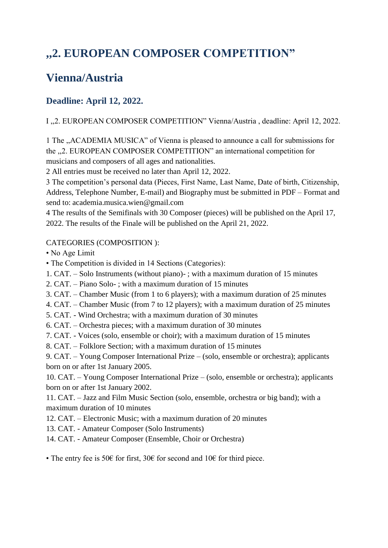# **,,2. EUROPEAN COMPOSER COMPETITION"**

## **Vienna/Austria**

### **Deadline: April 12, 2022.**

#### I ,,2. EUROPEAN COMPOSER COMPETITION" Vienna/Austria , deadline: April 12, 2022.

1 The ,,ACADEMIA MUSICA" of Vienna is pleased to announce a call for submissions for the ,,2. EUROPEAN COMPOSER COMPETITION" an international competition for musicians and composers of all ages and nationalities.

2 All entries must be received no later than April 12, 2022.

3 The competition's personal data (Pieces, First Name, Last Name, Date of birth, Citizenship, Address, Telephone Number, E-mail) and Biography must be submitted in PDF – Format and send to: academia.musica.wien@gmail.com

4 The results of the Semifinals with 30 Composer (pieces) will be published on the April 17, 2022. The results of the Finale will be published on the April 21, 2022.

#### CATEGORIES (COMPOSITION ):

- No Age Limit
- The Competition is divided in 14 Sections (Categories):
- 1. CAT. Solo Instruments (without piano)- ; with a maximum duration of 15 minutes
- 2. CAT. Piano Solo- ; with a maximum duration of 15 minutes
- 3. CAT. Chamber Music (from 1 to 6 players); with a maximum duration of 25 minutes
- 4. CAT. Chamber Music (from 7 to 12 players); with a maximum duration of 25 minutes
- 5. CAT. Wind Orchestra; with a maximum duration of 30 minutes
- 6. CAT. Orchestra pieces; with a maximum duration of 30 minutes
- 7. CAT. Voices (solo, ensemble or choir); with a maximum duration of 15 minutes
- 8. CAT. Folklore Section; with a maximum duration of 15 minutes

9. CAT. – Young Composer International Prize – (solo, ensemble or orchestra); applicants born on or after 1st January 2005.

10. CAT. – Young Composer International Prize – (solo, ensemble or orchestra); applicants born on or after 1st January 2002.

11. CAT. – Jazz and Film Music Section (solo, ensemble, orchestra or big band); with a maximum duration of 10 minutes

- 12. CAT. Electronic Music; with a maximum duration of 20 minutes
- 13. CAT. Amateur Composer (Solo Instruments)
- 14. CAT. Amateur Composer (Ensemble, Choir or Orchestra)
- The entry fee is 50€ for first, 30€ for second and 10€ for third piece.